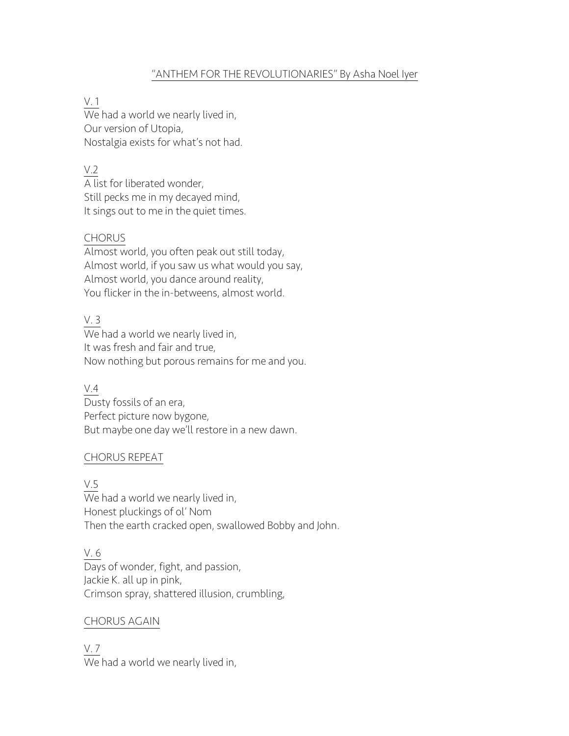## "ANTHEM FOR THE REVOLUTIONARIES" By Asha Noel Iyer

### V. 1

 $\frac{1}{100}$  had a world we nearly lived in, Our version of Utopia, Nostalgia exists for what's not had.

## V.2

 $\overline{A}$  list for liberated wonder, Still pecks me in my decayed mind, It sings out to me in the quiet times.

### CHORUS

Almost world, you often peak out still today, Almost world, if you saw us what would you say, Almost world, you dance around reality, You flicker in the in-betweens, almost world.

# V. 3

We had a world we nearly lived in, It was fresh and fair and true, Now nothing but porous remains for me and you.

### V.4

Dusty fossils of an era, Perfect picture now bygone, But maybe one day we'll restore in a new dawn.

### CHORUS REPEAT

V.5

 $\overline{W}$ e had a world we nearly lived in, Honest pluckings of ol' Nom Then the earth cracked open, swallowed Bobby and John.

## V. 6

Days of wonder, fight, and passion, Jackie K. all up in pink, Crimson spray, shattered illusion, crumbling,

### CHORUS AGAIN

V. 7 We had a world we nearly lived in,